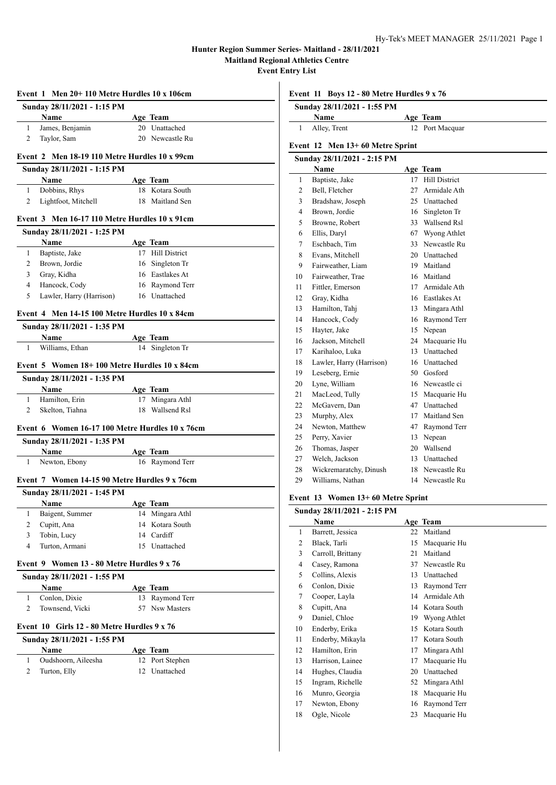L.

|                     | Event 1 Men 20+110 Metre Hurdles 10 x 106cm            |                                     |
|---------------------|--------------------------------------------------------|-------------------------------------|
|                     | Sunday 28/11/2021 - 1:15 PM                            |                                     |
|                     | Name                                                   | Age Team                            |
| 1                   | James, Benjamin                                        | 20 Unattached                       |
| $\overline{2}$      | Taylor, Sam                                            | 20 Newcastle Ru                     |
|                     | Event 2 Men 18-19 110 Metre Hurdles 10 x 99cm          |                                     |
|                     | Sunday 28/11/2021 - 1:15 PM                            |                                     |
|                     | Name                                                   | Age Team                            |
| 1                   | Dobbins, Rhys                                          | 18 Kotara South                     |
| 2                   | Lightfoot, Mitchell                                    | 18 Maitland Sen                     |
|                     | Event 3 Men 16-17 110 Metre Hurdles 10 x 91cm          |                                     |
|                     | Sunday 28/11/2021 - 1:25 PM                            |                                     |
| 1                   | Name<br>Baptiste, Jake                                 | <b>Age Team</b><br>17 Hill District |
| 2                   | Brown, Jordie                                          | 16 Singleton Tr                     |
| 3                   | Gray, Kidha                                            | 16 Eastlakes At                     |
| $\overline{4}$      | Hancock, Cody                                          | 16 Raymond Terr                     |
| 5                   | Lawler, Harry (Harrison)                               | 16 Unattached                       |
|                     | Event 4 Men 14-15 100 Metre Hurdles 10 x 84cm          |                                     |
|                     | Sunday 28/11/2021 - 1:35 PM                            |                                     |
|                     | Name                                                   | Age Team                            |
| 1                   | Williams, Ethan                                        | 14 Singleton Tr                     |
|                     | Event 5 Women 18+100 Metre Hurdles 10 x 84cm           |                                     |
|                     | Sunday 28/11/2021 - 1:35 PM                            |                                     |
|                     | Name                                                   | Age Team                            |
| 1                   | Hamilton, Erin                                         | 17 Mingara Athl                     |
| $\overline{c}$      | Skelton, Tiahna                                        | 18 Wallsend Rsl                     |
|                     | Event 6 Women 16-17 100 Metre Hurdles 10 x 76cm        |                                     |
|                     | Sunday 28/11/2021 - 1:35 PM                            |                                     |
|                     | Name                                                   | Age Team                            |
| 1                   | Newton, Ebony                                          | 16 Raymond Terr                     |
|                     | Event 7 Women 14-15 90 Metre Hurdles 9 x 76cm          |                                     |
|                     | Sunday 28/11/2021 - 1:45 PM                            |                                     |
|                     | Name                                                   | Age Team                            |
| 1                   | Baigent, Summer                                        | 14 Mingara Athl                     |
| 2                   | Cupitt, Ana                                            | 14 Kotara South                     |
| 3<br>$\overline{4}$ | Tobin, Lucy                                            | 14 Cardiff                          |
|                     | Turton, Armani                                         | 15 Unattached                       |
|                     | Event 9 Women 13 - 80 Metre Hurdles 9 x 76             |                                     |
|                     | Sunday 28/11/2021 - 1:55 PM<br>Name                    | Age Team                            |
| 1                   | Conlon, Dixie                                          | 13 Raymond Terr                     |
| 2                   | Townsend, Vicki                                        | 57 Nsw Masters                      |
|                     | Event $10$ Girls $12 - 80$ Metre Hurdles $9 \times 76$ |                                     |
|                     | Sunday 28/11/2021 - 1:55 PM                            |                                     |
|                     | Name                                                   | Age Team                            |
| 1                   | Oudshoorn, Aileesha                                    | 12 Port Stephen                     |
| $\overline{2}$      | Turton, Elly                                           | 12 Unattached                       |
|                     |                                                        |                                     |
|                     |                                                        |                                     |

**Event 11 Boys 12 - 80 Metre Hurdles 9 x 76**

| Sunday 28/11/2021 - 1:55 PM     |                 |
|---------------------------------|-----------------|
| Name                            | Age Team        |
| Alley, Trent                    | 12 Port Macquar |
| Event 12 Men 13+60 Metre Sprint |                 |

# **Sunday 28/11/2021 - 2:15 PM**

|                | Name                     |     | Age Team             |
|----------------|--------------------------|-----|----------------------|
| $\mathbf{1}$   | Baptiste, Jake           | 17  | <b>Hill District</b> |
| 2              | Bell, Fletcher           | 27  | Armidale Ath         |
| 3              | Bradshaw, Joseph         | 25  | Unattached           |
| $\overline{4}$ | Brown, Jordie            | 16  | Singleton Tr         |
| 5              | Browne, Robert           | 33  | Wallsend Rsl         |
| 6              | Ellis, Daryl             | 67  | Wyong Athlet         |
| 7              | Eschbach, Tim            | 33  | Newcastle Ru         |
| 8              | Evans, Mitchell          | 20  | Unattached           |
| 9              | Fairweather, Liam        | 19  | Maitland             |
| 10             | Fairweather, Trae        | 16  | Maitland             |
| 11             | Fittler, Emerson         | 17  | Armidale Ath         |
| 12             | Gray, Kidha              | 16. | Eastlakes At         |
| 13             | Hamilton, Tahj           | 13  | Mingara Athl         |
| 14             | Hancock, Cody            | 16  | Raymond Terr         |
| 15             | Hayter, Jake             | 15  | Nepean               |
| 16             | Jackson, Mitchell        | 24  | Macquarie Hu         |
| 17             | Karihaloo, Luka          | 13  | Unattached           |
| 18             | Lawler, Harry (Harrison) | 16  | Unattached           |
| 19             | Leseberg, Ernie          | 50  | Gosford              |
| 20             | Lyne, William            |     | 16 Newcastle ci      |
| 21             | MacLeod, Tully           | 15  | Macquarie Hu         |
| 22             | McGavern, Dan            | 47  | Unattached           |
| 23             | Murphy, Alex             | 17  | Maitland Sen         |
| 24             | Newton, Matthew          | 47  | Raymond Terr         |
| 25             | Perry, Xavier            | 13  | Nepean               |
| 26             | Thomas, Jasper           | 20  | Wallsend             |
| 27             | Welch, Jackson           | 13  | Unattached           |
| 28             | Wickremaratchy, Dinush   | 18  | Newcastle Ru         |
| 29             | Williams, Nathan         | 14  | Newcastle Ru         |

# **Event 13 Women 13+ 60 Metre Sprint**

| Sunday 28/11/2021 - 2:15 PM |                   |    |              |
|-----------------------------|-------------------|----|--------------|
|                             | Name              |    | Age Team     |
| 1                           | Barrett, Jessica  | 22 | Maitland     |
| 2                           | Black, Tarli      | 15 | Macquarie Hu |
| 3                           | Carroll, Brittany | 21 | Maitland     |
| 4                           | Casey, Ramona     | 37 | Newcastle Ru |
| 5                           | Collins, Alexis   | 13 | Unattached   |
| 6                           | Conlon, Dixie     | 13 | Raymond Terr |
| 7                           | Cooper, Layla     | 14 | Armidale Ath |
| 8                           | Cupitt, Ana       | 14 | Kotara South |
| 9                           | Daniel, Chloe     | 19 | Wyong Athlet |
| 10                          | Enderby, Erika    | 15 | Kotara South |
| 11                          | Enderby, Mikayla  | 17 | Kotara South |
| 12                          | Hamilton, Erin    | 17 | Mingara Athl |
| 13                          | Harrison, Lainee  | 17 | Macquarie Hu |
| 14                          | Hughes, Claudia   | 20 | Unattached   |
| 15                          | Ingram, Richelle  | 52 | Mingara Athl |
| 16                          | Munro, Georgia    | 18 | Macquarie Hu |
| 17                          | Newton, Ebony     | 16 | Raymond Terr |
| 18                          | Ogle, Nicole      | 23 | Macquarie Hu |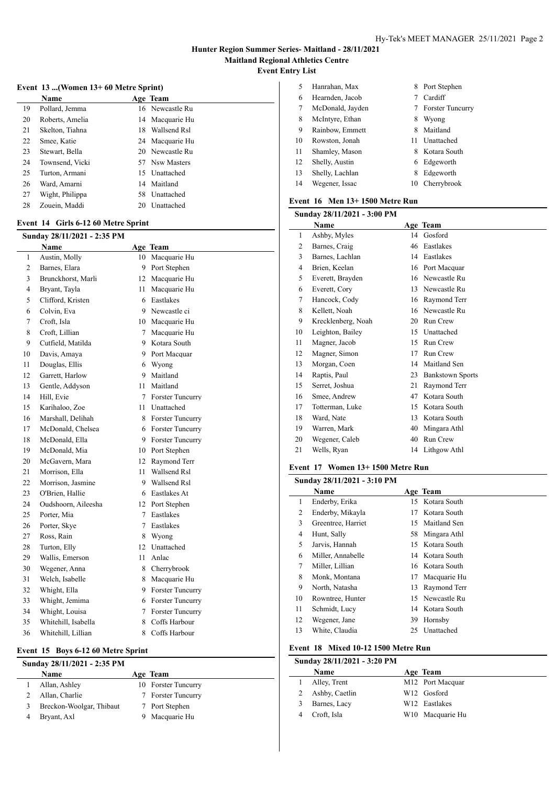#### **Event 13 ...(Women 13+ 60 Metre Sprint)**

|    | <b>Name</b>     |     | Age Team        |
|----|-----------------|-----|-----------------|
| 19 | Pollard, Jemma  |     | 16 Newcastle Ru |
| 20 | Roberts, Amelia |     | 14 Macquarie Hu |
| 21 | Skelton, Tiahna | 18. | Wallsend Rsl    |
| 22 | Smee, Katie     |     | 24 Macquarie Hu |
| 23 | Stewart, Bella  |     | 20 Newcastle Ru |
| 24 | Townsend, Vicki |     | 57 Nsw Masters  |
| 25 | Turton, Armani  | 15. | Unattached      |
| 26 | Ward, Amarni    | 14  | Maitland        |
| 27 | Wight, Philippa | 58. | Unattached      |
| 28 | Zouein, Maddi   | 20  | Unattached      |

#### **Event 14 Girls 6-12 60 Metre Sprint**

| Sunday 28/11/2021 - 2:35 PM |                     |        |                         |  |  |
|-----------------------------|---------------------|--------|-------------------------|--|--|
|                             | <b>Name</b>         |        | Age Team                |  |  |
| 1                           | Austin, Molly       | 10     | Macquarie Hu            |  |  |
| $\mathfrak{2}$              | Barnes, Elara       | 9.     | Port Stephen            |  |  |
| 3                           | Brunckhorst, Marli  | 12     | Macquarie Hu            |  |  |
| 4                           | Bryant, Tayla       | 11     | Macquarie Hu            |  |  |
| 5                           | Clifford, Kristen   | 6      | Eastlakes               |  |  |
| 6                           | Colvin, Eva         |        | 9 Newcastle ci          |  |  |
| 7                           | Croft, Isla         |        | 10 Macquarie Hu         |  |  |
| 8                           | Croft, Lillian      | $\tau$ | Macquarie Hu            |  |  |
| 9                           | Cutfield, Matilda   | 9      | Kotara South            |  |  |
| 10                          | Davis, Amaya        |        | 9 Port Macquar          |  |  |
| 11                          | Douglas, Ellis      | 6      | Wyong                   |  |  |
| 12                          | Garrett, Harlow     |        | 9 Maitland              |  |  |
| 13                          | Gentle, Addyson     |        | 11 Maitland             |  |  |
| 14                          | Hill, Evie          |        | 7 Forster Tuncurry      |  |  |
| 15                          | Karihaloo, Zoe      |        | 11 Unattached           |  |  |
| 16                          | Marshall, Delihah   | 8      | <b>Forster Tuncurry</b> |  |  |
| 17                          | McDonald, Chelsea   |        | 6 Forster Tuncurry      |  |  |
| 18                          | McDonald, Ella      |        | 9 Forster Tuncurry      |  |  |
| 19                          | McDonald, Mia       |        | 10 Port Stephen         |  |  |
| 20                          | McGavern, Mara      |        | 12 Raymond Terr         |  |  |
| 21                          | Morrison, Ella      | 11     | Wallsend Rsl            |  |  |
| 22                          | Morrison, Jasmine   | 9      | Wallsend Rsl            |  |  |
| 23                          | O'Brien, Hallie     |        | 6 Eastlakes At          |  |  |
| 24                          | Oudshoorn, Aileesha |        | 12 Port Stephen         |  |  |
| 25                          | Porter, Mia         | $\tau$ | Eastlakes               |  |  |
| 26                          | Porter, Skye        | $\tau$ | Eastlakes               |  |  |
| 27                          | Ross, Rain          | 8      | Wyong                   |  |  |
| 28                          | Turton, Elly        | 12     | Unattached              |  |  |
| 29                          | Wallis, Emerson     | 11     | Anlac                   |  |  |
| 30                          | Wegener, Anna       | 8.     | Cherrybrook             |  |  |
| 31                          | Welch, Isabelle     | 8      | Macquarie Hu            |  |  |
| 32                          | Whight, Ella        | 9      | <b>Forster Tuncurry</b> |  |  |
| 33                          | Whight, Jemima      | 6      | <b>Forster Tuncurry</b> |  |  |
| 34                          | Whight, Louisa      | $\tau$ | <b>Forster Tuncurry</b> |  |  |
| 35                          | Whitehill, Isabella | 8      | Coffs Harbour           |  |  |
| 36                          | Whitehill, Lillian  | 8      | Coffs Harbour           |  |  |

#### **Event 15 Boys 6-12 60 Metre Sprint**

| Sunday 28/11/2021 - 2:35 PM |                          |  |                     |
|-----------------------------|--------------------------|--|---------------------|
|                             | <b>Name</b>              |  | Age Team            |
|                             | Allan, Ashley            |  | 10 Forster Tuncurry |
|                             | Allan, Charlie           |  | 7 Forster Tuncurry  |
|                             | Breckon-Woolgar, Thibaut |  | 7 Port Stephen      |
|                             | Bryant, Axl              |  | Macquarie Hu        |

| Hanrahan, Max    |    | Port Stephen            |
|------------------|----|-------------------------|
| Hearnden, Jacob  |    | Cardiff                 |
| McDonald, Jayden |    | <b>Forster Tuncurry</b> |
| McIntyre, Ethan  | 8  | Wyong                   |
| Rainbow, Emmett  | 8  | Maitland                |
| Rowston, Jonah   | 11 | Unattached              |
| Shamley, Mason   | 8  | Kotara South            |
| Shelly, Austin   | 6. | Edgeworth               |
| Shelly, Lachlan  | 8  | Edgeworth               |
| Wegener, Issac   | 10 | Cherrybrook             |
|                  |    | 8.                      |

#### **Event 16 Men 13+ 1500 Metre Run**

|                | Sunday 28/11/2021 - 3:00 PM |    |                         |
|----------------|-----------------------------|----|-------------------------|
|                | Name                        |    | Age Team                |
| 1              | Ashby, Myles                | 14 | Gosford                 |
| $\overline{c}$ | Barnes, Craig               | 46 | Eastlakes               |
| 3              | Barnes, Lachlan             | 14 | Eastlakes               |
| 4              | Brien, Keelan               | 16 | Port Macquar            |
| 5              | Everett, Brayden            | 16 | Newcastle Ru            |
| 6              | Everett, Cory               | 13 | Newcastle Ru            |
| 7              | Hancock, Cody               | 16 | Raymond Terr            |
| 8              | Kellett, Noah               | 16 | Newcastle Ru            |
| 9              | Krecklenberg, Noah          | 20 | Run Crew                |
| 10             | Leighton, Bailey            | 15 | Unattached              |
| 11             | Magner, Jacob               | 15 | Run Crew                |
| 12             | Magner, Simon               | 17 | Run Crew                |
| 13             | Morgan, Coen                | 14 | Maitland Sen            |
| 14             | Raptis, Paul                | 23 | <b>Bankstown Sports</b> |
| 15             | Serret, Joshua              | 21 | Raymond Terr            |
| 16             | Smee, Andrew                | 47 | Kotara South            |
| 17             | Totterman, Luke             | 15 | Kotara South            |
| 18             | Ward, Nate                  | 13 | Kotara South            |
| 19             | Warren, Mark                | 40 | Mingara Athl            |
| 20             | Wegener, Caleb              | 40 | Run Crew                |
| 21             | Wells, Ryan                 | 14 | Lithgow Athl            |

#### **Event 17 Women 13+ 1500 Metre Run**

| Sunday 28/11/2021 - 3:10 PM |    |                    |    |                 |
|-----------------------------|----|--------------------|----|-----------------|
|                             |    | <b>Name</b>        |    | Age Team        |
|                             | 1  | Enderby, Erika     |    | 15 Kotara South |
|                             | 2  | Enderby, Mikayla   | 17 | Kotara South    |
|                             | 3  | Greentree, Harriet | 15 | Maitland Sen    |
|                             | 4  | Hunt, Sally        |    | 58 Mingara Athl |
|                             | 5  | Jarvis, Hannah     | 15 | Kotara South    |
|                             | 6  | Miller, Annabelle  |    | 14 Kotara South |
|                             | 7  | Miller, Lillian    |    | 16 Kotara South |
|                             | 8  | Monk, Montana      | 17 | Macquarie Hu    |
|                             | 9  | North, Natasha     | 13 | Raymond Terr    |
|                             | 10 | Rowntree, Hunter   | 15 | Newcastle Ru    |
|                             | 11 | Schmidt, Lucy      | 14 | Kotara South    |
|                             | 12 | Wegener, Jane      | 39 | Hornsby         |
|                             | 13 | White, Claudia     | 25 | Unattached      |

#### **Event 18 Mixed 10-12 1500 Metre Run**

# **Sunday 28/11/2021 - 3:20 PM**

 $\overline{a}$ 

| <b>Name</b>    | Age Team                     |
|----------------|------------------------------|
| Alley, Trent   | M12 Port Macquar             |
| Ashby, Caetlin | W <sub>12</sub> Gosford      |
| Barnes, Lacy   | W12 Eastlakes                |
| Croft, Isla    | W <sub>10</sub> Macquarie Hu |
|                |                              |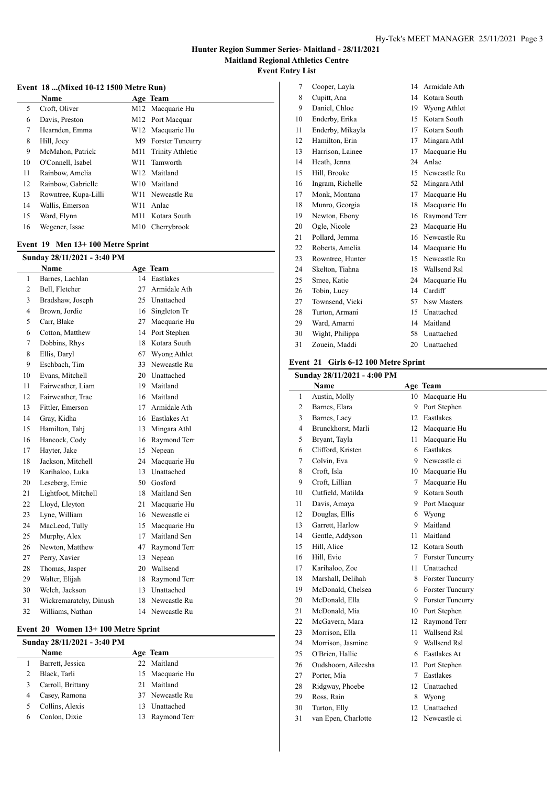# **Event 18 ...(Mixed 10-12 1500 Metre Run)**

|    | <b>Name</b>          |     | Age Team                     |
|----|----------------------|-----|------------------------------|
| 5  | Croft, Oliver        |     | M12 Macquarie Hu             |
| 6  | Davis, Preston       |     | M12 Port Macquar             |
| 7  | Hearnden, Emma       |     | W12 Macquarie Hu             |
| 8  | Hill, Joey           | M9  | <b>Forster Tuncurry</b>      |
| 9  | McMahon, Patrick     |     | M11 Trinity Athletic         |
| 10 | O'Connell, Isabel    |     | W <sub>11</sub> Tamworth     |
| 11 | Rainbow, Amelia      |     | W12 Maitland                 |
| 12 | Rainbow, Gabrielle   |     | W10 Maitland                 |
| 13 | Rowntree, Kupa-Lilli |     | W <sub>11</sub> Newcastle Ru |
| 14 | Wallis, Emerson      | W11 | Anlac                        |
| 15 | Ward, Flynn          |     | M11 Kotara South             |
| 16 | Wegener, Issac       |     | M <sub>10</sub> Cherrybrook  |

# **Event 19 Men 13+ 100 Metre Sprint**

|                | Sunday 28/11/2021 - 3:40 PM |     |                 |
|----------------|-----------------------------|-----|-----------------|
|                | Name                        |     | Age Team        |
| $\mathbf{1}$   | Barnes, Lachlan             | 14  | Eastlakes       |
| 2              | Bell, Fletcher              | 27  | Armidale Ath    |
| 3              | Bradshaw, Joseph            | 25  | Unattached      |
| $\overline{4}$ | Brown, Jordie               | 16  | Singleton Tr    |
| 5              | Carr, Blake                 | 27  | Macquarie Hu    |
| 6              | Cotton, Matthew             | 14  | Port Stephen    |
| 7              | Dobbins, Rhys               | 18. | Kotara South    |
| 8              | Ellis, Daryl                | 67  | Wyong Athlet    |
| 9              | Eschbach, Tim               | 33  | Newcastle Ru    |
| 10             | Evans, Mitchell             |     | 20 Unattached   |
| 11             | Fairweather, Liam           | 19. | Maitland        |
| 12             | Fairweather, Trae           | 16  | Maitland        |
| 13             | Fittler, Emerson            | 17  | Armidale Ath    |
| 14             | Gray, Kidha                 |     | 16 Eastlakes At |
| 15             | Hamilton, Tahj              | 13  | Mingara Athl    |
| 16             | Hancock, Cody               | 16  | Raymond Terr    |
| 17             | Hayter, Jake                | 15  | Nepean          |
| 18             | Jackson, Mitchell           | 24  | Macquarie Hu    |
| 19             | Karihaloo, Luka             | 13  | Unattached      |
| 20             | Leseberg, Ernie             |     | 50 Gosford      |
| 21             | Lightfoot, Mitchell         | 18  | Maitland Sen    |
| 22             | Lloyd, Lleyton              | 21  | Macquarie Hu    |
| 23             | Lyne, William               | 16  | Newcastle ci    |
| 24             | MacLeod, Tully              | 15  | Macquarie Hu    |
| 25             | Murphy, Alex                | 17  | Maitland Sen    |
| 26             | Newton, Matthew             | 47  | Raymond Terr    |
| 27             | Perry, Xavier               | 13  | Nepean          |
| 28             | Thomas, Jasper              | 20  | Wallsend        |
| 29             | Walter, Elijah              | 18  | Raymond Terr    |
| 30             | Welch, Jackson              | 13  | Unattached      |
| 31             | Wickremaratchy, Dinush      | 18  | Newcastle Ru    |
| 32             | Williams, Nathan            | 14  | Newcastle Ru    |

# **Event 20 Women 13+ 100 Metre Sprint**

| Sunday 28/11/2021 - 3:40 PM |     |                 |
|-----------------------------|-----|-----------------|
| <b>Name</b>                 |     | Age Team        |
| Barrett, Jessica            |     | 22 Maitland     |
| Black, Tarli                |     | 15 Macquarie Hu |
| Carroll, Brittany           | 21  | Maitland        |
| Casey, Ramona               |     | 37 Newcastle Ru |
| Collins, Alexis             | 13. | Unattached      |
| Conlon, Dixie               | 13. | Raymond Terr    |
|                             |     |                 |

| 7  | Cooper, Layla    | 14 | Armidale Ath       |
|----|------------------|----|--------------------|
| 8  | Cupitt, Ana      | 14 | Kotara South       |
| 9  | Daniel, Chloe    | 19 | Wyong Athlet       |
| 10 | Enderby, Erika   | 15 | Kotara South       |
| 11 | Enderby, Mikayla | 17 | Kotara South       |
| 12 | Hamilton, Erin   | 17 | Mingara Athl       |
| 13 | Harrison, Lainee | 17 | Macquarie Hu       |
| 14 | Heath, Jenna     | 24 | Anlac              |
| 15 | Hill, Brooke     | 15 | Newcastle Ru       |
| 16 | Ingram, Richelle | 52 | Mingara Athl       |
| 17 | Monk, Montana    | 17 | Macquarie Hu       |
| 18 | Munro, Georgia   | 18 | Macquarie Hu       |
| 19 | Newton, Ebony    | 16 | Raymond Terr       |
| 20 | Ogle, Nicole     | 23 | Macquarie Hu       |
| 21 | Pollard, Jemma   | 16 | Newcastle Ru       |
| 22 | Roberts, Amelia  | 14 | Macquarie Hu       |
| 23 | Rowntree, Hunter | 15 | Newcastle Ru       |
| 24 | Skelton, Tiahna  | 18 | Wallsend Rsl       |
| 25 | Smee, Katie      | 24 | Macquarie Hu       |
| 26 | Tobin, Lucy      | 14 | Cardiff            |
| 27 | Townsend, Vicki  | 57 | <b>Nsw Masters</b> |
| 28 | Turton, Armani   | 15 | Unattached         |
| 29 | Ward, Amarni     | 14 | Maitland           |
| 30 | Wight, Philippa  | 58 | Unattached         |
| 31 | Zouein, Maddi    | 20 | Unattached         |

#### **Event 21 Girls 6-12 100 Metre Sprint**

# **Sunday 28/11/2021 - 4:00 PM**

| Sunday 28/11/2021 - 4:00 PM |                     |        |                         |
|-----------------------------|---------------------|--------|-------------------------|
|                             | Name                |        | Age Team                |
| 1                           | Austin, Molly       | 10     | Macquarie Hu            |
| $\overline{c}$              | Barnes, Elara       | 9      | Port Stephen            |
| 3                           | Barnes, Lacy        |        | 12 Eastlakes            |
| $\overline{4}$              | Brunckhorst, Marli  |        | 12 Macquarie Hu         |
| 5                           | Bryant, Tayla       | 11     | Macquarie Hu            |
| 6                           | Clifford, Kristen   |        | 6 Eastlakes             |
| 7                           | Colvin, Eva         |        | 9 Newcastle ci          |
| 8                           | Croft, Isla         |        | 10 Macquarie Hu         |
| 9                           | Croft, Lillian      | $\tau$ | Macquarie Hu            |
| 10                          | Cutfield, Matilda   |        | 9 Kotara South          |
| 11                          | Davis, Amaya        |        | 9 Port Macquar          |
| 12                          | Douglas, Ellis      |        | 6 Wyong                 |
| 13                          | Garrett, Harlow     | 9      | Maitland                |
| 14                          | Gentle, Addyson     | 11     | Maitland                |
| 15                          | Hill, Alice         |        | 12 Kotara South         |
| 16                          | Hill, Evie          | 7      | <b>Forster Tuncurry</b> |
| 17                          | Karihaloo, Zoe      | 11     | Unattached              |
| 18                          | Marshall, Delihah   |        | 8 Forster Tuncurry      |
| 19                          | McDonald, Chelsea   |        | 6 Forster Tuncurry      |
| 20                          | McDonald, Ella      |        | 9 Forster Tuncurry      |
| 21                          | McDonald, Mia       |        | 10 Port Stephen         |
| 22                          | McGavern, Mara      | 12     | Raymond Terr            |
| 23                          | Morrison, Ella      |        | 11 Wallsend Rsl         |
| 24                          | Morrison, Jasmine   |        | 9 Wallsend Rsl          |
| 25                          | O'Brien, Hallie     |        | 6 Eastlakes At          |
| 26                          | Oudshoorn, Aileesha | 12     | Port Stephen            |
| 27                          | Porter, Mia         | 7      | Eastlakes               |
| 28                          | Ridgway, Phoebe     |        | 12 Unattached           |
| 29                          | Ross, Rain          |        | 8 Wyong                 |
| 30                          | Turton, Elly        | 12     | Unattached              |
| 31                          | van Epen, Charlotte | 12     | Newcastle ci            |
|                             |                     |        |                         |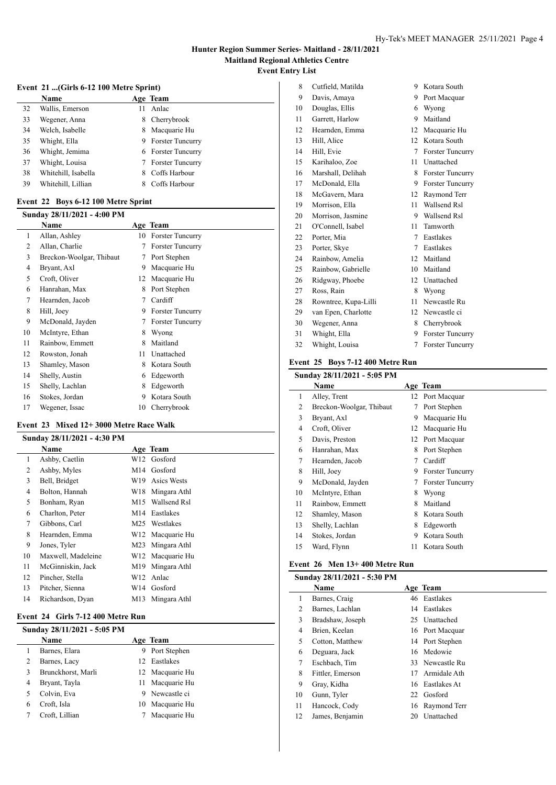# **Event 21 ...(Girls 6-12 100 Metre Sprint)**

|    | Name                |    | Age Team                |
|----|---------------------|----|-------------------------|
| 32 | Wallis, Emerson     | 11 | Anlac                   |
| 33 | Wegener, Anna       | 8. | Cherrybrook             |
| 34 | Welch, Isabelle     |    | 8 Macquarie Hu          |
| 35 | Whight, Ella        |    | 9 Forster Tuncurry      |
| 36 | Whight, Jemima      |    | 6 Forster Tuncurry      |
| 37 | Whight, Louisa      | 7  | <b>Forster Tuncurry</b> |
| 38 | Whitehill, Isabella | 8. | Coffs Harbour           |
| 39 | Whitehill, Lillian  |    | Coffs Harbour           |
|    |                     |    |                         |

#### **Event 22 Boys 6-12 100 Metre Sprint**

| Sunday 28/11/2021 - 4:00 PM |                          |    |                         |
|-----------------------------|--------------------------|----|-------------------------|
|                             | Name                     |    | Age Team                |
| 1                           | Allan, Ashley            | 10 | <b>Forster Tuncurry</b> |
| 2                           | Allan, Charlie           | 7  | <b>Forster Tuncurry</b> |
| 3                           | Breckon-Woolgar, Thibaut | 7  | Port Stephen            |
| 4                           | Bryant, Axl              | 9  | Macquarie Hu            |
| 5                           | Croft, Oliver            | 12 | Macquarie Hu            |
| 6                           | Hanrahan, Max            | 8  | Port Stephen            |
| 7                           | Hearnden, Jacob          | 7  | Cardiff                 |
| 8                           | Hill, Joey               | 9  | <b>Forster Tuncurry</b> |
| 9                           | McDonald, Jayden         | 7  | <b>Forster Tuncurry</b> |
| 10                          | McIntyre, Ethan          | 8  | Wyong                   |
| 11                          | Rainbow, Emmett          | 8  | Maitland                |
| 12                          | Rowston, Jonah           | 11 | Unattached              |
| 13                          | Shamley, Mason           | 8  | Kotara South            |
| 14                          | Shelly, Austin           | 6  | Edgeworth               |
| 15                          | Shelly, Lachlan          | 8  | Edgeworth               |
| 16                          | Stokes, Jordan           | 9  | Kotara South            |
| 17                          | Wegener, Issac           | 10 | Cherrybrook             |

#### **Event 23 Mixed 12+ 3000 Metre Race Walk**

|    | Sunday 28/11/2021 - 4:30 PM |      |                                          |
|----|-----------------------------|------|------------------------------------------|
|    | Name                        |      | Age Team                                 |
| 1  | Ashby, Caetlin              |      | W12 Gosford                              |
| 2  | Ashby, Myles                |      | M <sub>14</sub> Gosford                  |
| 3  | Bell, Bridget               | W19. | Asics Wests                              |
| 4  | Bolton, Hannah              |      | W18 Mingara Athl                         |
| 5  | Bonham, Ryan                |      | M <sub>15</sub> Wallsend R <sub>sl</sub> |
| 6  | Charlton, Peter             |      | M14 Eastlakes                            |
| 7  | Gibbons, Carl               |      | M25 Westlakes                            |
| 8  | Hearnden, Emma              |      | W12 Macquarie Hu                         |
| 9  | Jones, Tyler                |      | M23 Mingara Athl                         |
| 10 | Maxwell, Madeleine          |      | W12 Macquarie Hu                         |
| 11 | McGinniskin, Jack           | M19. | Mingara Athl                             |
| 12 | Pincher, Stella             |      | W12 Anlac                                |
| 13 | Pitcher, Sienna             |      | W14 Gosford                              |
| 14 | Richardson, Dyan            |      | M13 Mingara Athl                         |

#### **Event 24 Girls 7-12 400 Metre Run**

| Sunday 28/11/2021 - 5:05 PM |                    |     |                 |
|-----------------------------|--------------------|-----|-----------------|
|                             | <b>Name</b>        |     | Age Team        |
|                             | Barnes, Elara      | 9   | Port Stephen    |
|                             | Barnes, Lacy       | 12. | Eastlakes       |
|                             | Brunckhorst, Marli |     | 12 Macquarie Hu |
| 4                           | Bryant, Tayla      | 11  | Macquarie Hu    |
|                             | Colvin, Eva        | 9   | Newcastle ci    |
| 6                           | Croft, Isla        | 10  | Macquarie Hu    |
|                             | Croft, Lillian     |     | Macquarie Hu    |

| 8  | Cutfield, Matilda    | 9               | Kotara South            |
|----|----------------------|-----------------|-------------------------|
| 9  | Davis, Amaya         | 9               | Port Macquar            |
| 10 | Douglas, Ellis       | 6               | Wyong                   |
| 11 | Garrett, Harlow      | 9               | Maitland                |
| 12 | Hearnden, Emma       | 12              | Macquarie Hu            |
| 13 | Hill, Alice          | 12              | Kotara South            |
| 14 | Hill, Evie           | 7               | <b>Forster Tuncurry</b> |
| 15 | Karihaloo, Zoe       | 11              | Unattached              |
| 16 | Marshall, Delihah    | 8               | <b>Forster Tuncurry</b> |
| 17 | McDonald, Ella       | 9               | <b>Forster Tuncurry</b> |
| 18 | McGavern, Mara       | 12              | Raymond Terr            |
| 19 | Morrison, Ella       | 11              | Wallsend Rsl            |
| 20 | Morrison, Jasmine    | 9               | Wallsend Rsl            |
| 21 | O'Connell, Isabel    | 11              | Tamworth                |
| 22 | Porter, Mia          | 7               | Eastlakes               |
| 23 | Porter, Skye         | 7               | Eastlakes               |
| 24 | Rainbow, Amelia      | 12.             | Maitland                |
| 25 | Rainbow, Gabrielle   | 10              | Maitland                |
| 26 | Ridgway, Phoebe      | 12              | Unattached              |
| 27 | Ross, Rain           | 8               | Wyong                   |
| 28 | Rowntree, Kupa-Lilli | $\overline{11}$ | Newcastle Ru            |
| 29 | van Epen, Charlotte  | 12              | Newcastle ci            |
| 30 | Wegener, Anna        | 8               | Cherrybrook             |
| 31 | Whight, Ella         | 9               | <b>Forster Tuncurry</b> |
| 32 | Whight, Louisa       | 7               | <b>Forster Tuncurry</b> |
|    |                      |                 |                         |

#### **Event 25 Boys 7-12 400 Metre Run**

#### **Sunday 28/11/2021 - 5:05 PM**

|                | Name                     |    | Age Team                |  |  |
|----------------|--------------------------|----|-------------------------|--|--|
| 1              | Alley, Trent             |    | 12 Port Macquar         |  |  |
| 2              | Breckon-Woolgar, Thibaut | 7  | Port Stephen            |  |  |
| 3              | Bryant, Axl              | 9  | Macquarie Hu            |  |  |
| $\overline{4}$ | Croft, Oliver            |    | 12 Macquarie Hu         |  |  |
| 5              | Davis, Preston           |    | 12 Port Macquar         |  |  |
| 6              | Hanrahan, Max            | 8  | Port Stephen            |  |  |
| 7              | Hearnden, Jacob          | 7  | Cardiff                 |  |  |
| 8              | Hill, Joey               | 9  | <b>Forster Tuncurry</b> |  |  |
| 9              | McDonald, Jayden         | 7  | <b>Forster Tuncurry</b> |  |  |
| 10             | McIntyre, Ethan          | 8  | Wyong                   |  |  |
| 11             | Rainbow, Emmett          | 8  | Maitland                |  |  |
| 12             | Shamley, Mason           | 8  | Kotara South            |  |  |
| 13             | Shelly, Lachlan          | 8  | Edgeworth               |  |  |
| 14             | Stokes, Jordan           | 9  | Kotara South            |  |  |
| 15             | Ward, Flynn              | 11 | Kotara South            |  |  |
|                |                          |    |                         |  |  |

# **Event 26 Men 13+ 400 Metre Run**

|    | Sunday 28/11/2021 - 5:30 PM |    |                 |
|----|-----------------------------|----|-----------------|
|    | Name                        |    | Age Team        |
| 1  | Barnes, Craig               |    | 46 Eastlakes    |
| 2  | Barnes, Lachlan             | 14 | Eastlakes       |
| 3  | Bradshaw, Joseph            |    | 25 Unattached   |
| 4  | Brien, Keelan               |    | 16 Port Macquar |
| 5  | Cotton, Matthew             |    | 14 Port Stephen |
| 6  | Deguara, Jack               |    | 16 Medowie      |
| 7  | Eschbach, Tim               |    | 33 Newcastle Ru |
| 8  | Fittler, Emerson            | 17 | Armidale Ath    |
| 9  | Gray, Kidha                 |    | 16 Eastlakes At |
| 10 | Gunn, Tyler                 | 22 | Gosford         |
| 11 | Hancock, Cody               |    | 16 Raymond Terr |
| 12 | James, Benjamin             | 20 | Unattached      |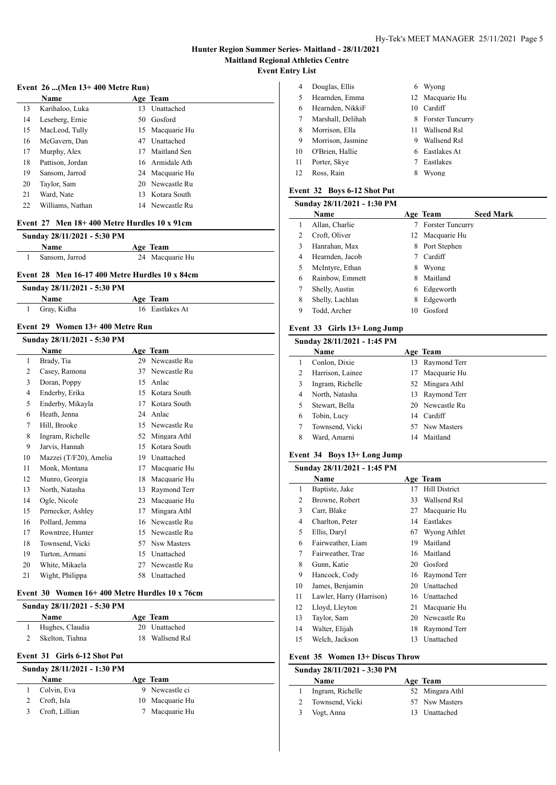$\overline{a}$ 

 $\frac{1}{2}$ 

#### **Event 26 ...(Men 13+ 400 Metre Run)**

|    | Name             |     | Age Team        |
|----|------------------|-----|-----------------|
| 13 | Karihaloo, Luka  | 13  | Unattached      |
| 14 | Leseberg, Ernie  |     | 50 Gosford      |
| 15 | MacLeod, Tully   |     | 15 Macquarie Hu |
| 16 | McGavern, Dan    | 47  | Unattached      |
| 17 | Murphy, Alex     | 17  | Maitland Sen    |
| 18 | Pattison, Jordan |     | 16 Armidale Ath |
| 19 | Sansom, Jarrod   |     | 24 Macquarie Hu |
| 20 | Taylor, Sam      |     | 20 Newcastle Ru |
| 21 | Ward. Nate       | 13. | Kotara South    |
| 22 | Williams, Nathan |     | 14 Newcastle Ru |
|    |                  |     |                 |

#### **Event 27 Men 18+ 400 Metre Hurdles 10 x 91cm**

| Sunday 28/11/2021 - 5:30 PM |                 |  |
|-----------------------------|-----------------|--|
| <b>Name</b>                 | Age Team        |  |
| Sansom. Jarrod              | 24 Macquarie Hu |  |

#### **Event 28 Men 16-17 400 Metre Hurdles 10 x 84cm**

| Sunday 28/11/2021 - 5:30 PM |               |                 |
|-----------------------------|---------------|-----------------|
|                             | <b>Name</b>   | Age Team        |
|                             | 1 Gray, Kidha | 16 Eastlakes At |

#### **Event 29 Women 13+ 400 Metre Run**

|    | Sunday 28/11/2021 - 5:30 PM |    |              |
|----|-----------------------------|----|--------------|
|    | Name                        |    | Age Team     |
| 1  | Brady, Tia                  | 29 | Newcastle Ru |
| 2  | Casey, Ramona               | 37 | Newcastle Ru |
| 3  | Doran, Poppy                | 15 | Anlac        |
| 4  | Enderby, Erika              | 15 | Kotara South |
| 5  | Enderby, Mikayla            | 17 | Kotara South |
| 6  | Heath, Jenna                | 24 | Anlac        |
| 7  | Hill, Brooke                | 15 | Newcastle Ru |
| 8  | Ingram, Richelle            | 52 | Mingara Athl |
| 9  | Jarvis, Hannah              | 15 | Kotara South |
| 10 | Mazzei (T/F20), Amelia      | 19 | Unattached   |
| 11 | Monk, Montana               | 17 | Macquarie Hu |
| 12 | Munro, Georgia              | 18 | Macquarie Hu |
| 13 | North, Natasha              | 13 | Raymond Terr |
| 14 | Ogle, Nicole                | 23 | Macquarie Hu |
| 15 | Pernecker, Ashley           | 17 | Mingara Athl |
| 16 | Pollard, Jemma              | 16 | Newcastle Ru |
| 17 | Rowntree, Hunter            | 15 | Newcastle Ru |
| 18 | Townsend, Vicki             | 57 | Nsw Masters  |
| 19 | Turton, Armani              | 15 | Unattached   |
| 20 | White, Mikaela              | 27 | Newcastle Ru |
| 21 | Wight, Philippa             | 58 | Unattached   |
|    |                             |    |              |

#### **Event 30 Women 16+ 400 Metre Hurdles 10 x 76cm**

| Sunday 28/11/2021 - 5:30 PM |                 |  |                 |
|-----------------------------|-----------------|--|-----------------|
|                             | <b>Name</b>     |  | Age Team        |
|                             | Hughes, Claudia |  | 20 Unattached   |
|                             | Skelton, Tiahna |  | 18 Wallsend Rsl |
|                             |                 |  |                 |

# **Event 31 Girls 6-12 Shot Put**

| Sunday 28/11/2021 - 1:30 PM |                 |
|-----------------------------|-----------------|
| Name                        | Age Team        |
| Colvin, Eva                 | 9 Newcastle ci  |
| Croft, Isla                 | 10 Macquarie Hu |
| Croft, Lillian              | 7 Macquarie Hu  |

| 4  | Douglas, Ellis    | 6  | Wyong              |
|----|-------------------|----|--------------------|
| 5  | Hearnden, Emma    |    | 12 Macquarie Hu    |
| 6  | Hearnden, NikkiF  | 10 | Cardiff            |
| 7  | Marshall, Delihah |    | 8 Forster Tuncurry |
| 8  | Morrison, Ella    | 11 | Wallsend Rsl       |
| 9  | Morrison, Jasmine | 9  | Wallsend Rsl       |
| 10 | O'Brien, Hallie   |    | 6 Eastlakes At     |
| 11 | Porter, Skye      |    | Eastlakes          |
| 12 | Ross, Rain        |    | /vong              |

#### **Event 32 Boys 6-12 Shot Put**

| Sunday 28/11/2021 - 1:30 PM |                 |    |                         |                  |
|-----------------------------|-----------------|----|-------------------------|------------------|
|                             | Name            |    | Age Team                | <b>Seed Mark</b> |
|                             | Allan, Charlie  |    | <b>Forster Tuncurry</b> |                  |
| 2                           | Croft, Oliver   |    | 12 Macquarie Hu         |                  |
| 3                           | Hanrahan, Max   | 8. | Port Stephen            |                  |
| 4                           | Hearnden, Jacob |    | Cardiff                 |                  |
| 5                           | McIntyre, Ethan | 8  | Wyong                   |                  |
| 6                           | Rainbow, Emmett | 8  | Maitland                |                  |
| 7                           | Shelly, Austin  | 6  | Edgeworth               |                  |
| 8                           | Shelly, Lachlan | 8  | Edgeworth               |                  |
| 9                           | Todd, Archer    | 10 | Gosford                 |                  |
|                             |                 |    |                         |                  |

#### **Event 33 Girls 13+ Long Jump**

|   | Sunday 28/11/2021 - 1:45 PM |     |                 |
|---|-----------------------------|-----|-----------------|
|   | Name                        |     | Age Team        |
|   | Conlon, Dixie               | 13  | Raymond Terr    |
| 2 | Harrison, Lainee            | 17. | Macquarie Hu    |
| 3 | Ingram, Richelle            |     | 52 Mingara Athl |
| 4 | North, Natasha              |     | 13 Raymond Terr |
| 5 | Stewart, Bella              |     | 20 Newcastle Ru |
| 6 | Tobin, Lucy                 |     | 14 Cardiff      |
| 7 | Townsend, Vicki             |     | 57 Nsw Masters  |
| 8 | Ward, Amarni                | 14  | Maitland        |

#### **Event 34 Boys 13+ Long Jump**

|    | Sunday 28/11/2021 - 1:45 PM |    |               |
|----|-----------------------------|----|---------------|
|    | Name                        |    | Age Team      |
| 1  | Baptiste, Jake              | 17 | Hill District |
| 2  | Browne, Robert              | 33 | Wallsend Rsl  |
| 3  | Carr, Blake                 | 27 | Macquarie Hu  |
| 4  | Charlton, Peter             | 14 | Eastlakes     |
| 5  | Ellis, Daryl                | 67 | Wyong Athlet  |
| 6  | Fairweather, Liam           | 19 | Maitland      |
| 7  | Fairweather, Trae           | 16 | Maitland      |
| 8  | Gunn, Katie                 | 20 | Gosford       |
| 9  | Hancock, Cody               | 16 | Raymond Terr  |
| 10 | James, Benjamin             | 20 | Unattached    |
| 11 | Lawler, Harry (Harrison)    | 16 | Unattached    |
| 12 | Lloyd, Lleyton              | 21 | Macquarie Hu  |
| 13 | Taylor, Sam                 | 20 | Newcastle Ru  |
| 14 | Walter, Elijah              | 18 | Raymond Terr  |
| 15 | Welch, Jackson              | 13 | Unattached    |

#### **Event 35 Women 13+ Discus Throw**

|               | Sunday 28/11/2021 - 3:30 PM |                 |
|---------------|-----------------------------|-----------------|
|               | <b>Name</b>                 | Age Team        |
|               | Ingram, Richelle            | 52 Mingara Athl |
|               | Townsend, Vicki             | 57 Nsw Masters  |
| $\mathcal{F}$ | Vogt, Anna                  | 13 Unattached   |